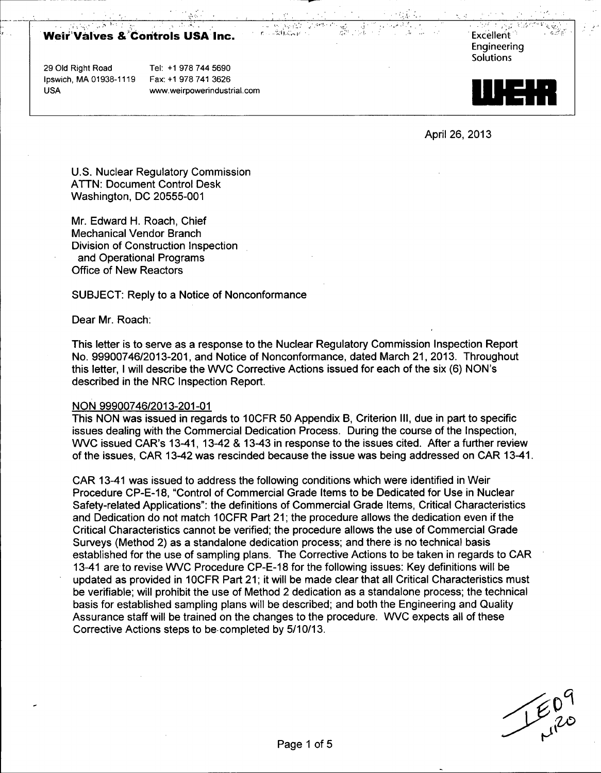# Weir'Valves &ýCohtrols USAý Inc. -. . ':: Excellent

29 Old Right Road Tel: +1 978 744 5690 Ipswich, MA 01938-1119 Fax: +1 978741 3626

USA www.weirpowerindustrial.com



April 26, 2013

U.S. Nuclear Regulatory Commission ATTN: Document Control Desk Washington, DC 20555-001

Mr. Edward H. Roach, Chief Mechanical Vendor Branch Division of Construction Inspection and Operational Programs Office of New Reactors

SUBJECT: Reply to a Notice of Nonconformance

Dear Mr. Roach:

This letter is to serve as a response to the Nuclear Regulatory Commission Inspection Report No. 99900746/2013-201, and Notice of Nonconformance, dated March 21, 2013. Throughout this letter, I will describe the WVC Corrective Actions issued for each of the six (6) NON's described in the NRC Inspection Report.

#### NON 99900746/2013-201-01

This NON was issued in regards to 10CFR 50 Appendix B, Criterion **III,** due in part to specific issues dealing with the Commercial Dedication Process. During the course of the Inspection, WVC issued CAR's 13-41, 13-42 & 13-43 in response to the issues cited. After a further review of the issues, CAR 13-42 was rescinded because the issue was being addressed on CAR 13-41.

CAR 13-41 was issued to address the following conditions which were identified in Weir Procedure CP-E-1 8, "Control of Commercial Grade Items to be Dedicated for Use in Nuclear Safety-related Applications": the definitions of Commercial Grade Items, Critical Characteristics and Dedication do not match 1OCFR Part 21; the procedure allows the dedication even if the Critical Characteristics cannot be verified; the procedure allows the use of Commercial Grade Surveys (Method 2) as a standalone dedication process; and there is no technical basis established for the use of sampling plans. The Corrective Actions to be taken in regards to CAR 13-41 are to revise WVC Procedure CP-E-18 for the following issues: Key definitions will be updated as provided in 1OCFR Part 21; it will be made clear that all Critical Characteristics must be verifiable; will prohibit the use of Method 2 dedication as a standalone process; the technical basis for established sampling plans will be described; and both the Engineering and Quality Assurance staff will be trained on the changes to the procedure. WVC expects all of these Corrective Actions steps to be-completed by 5/10/13.

 $20^{9}$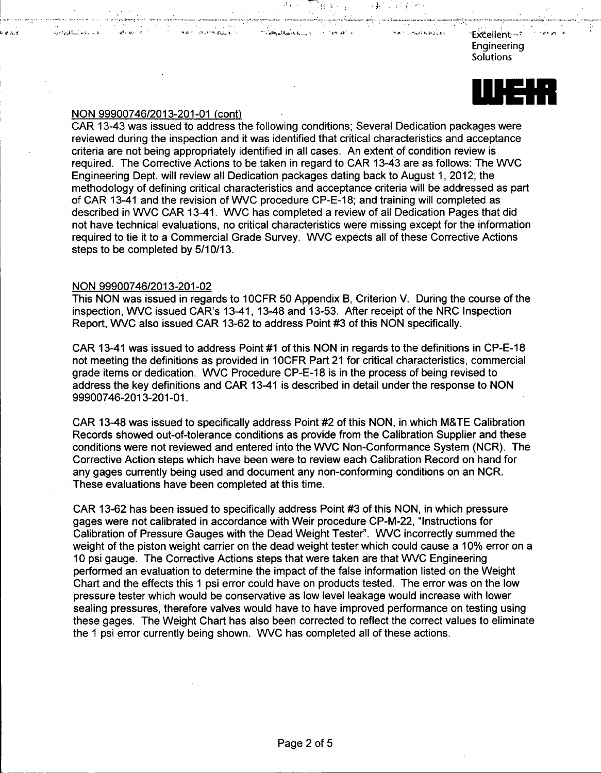EkCellent-\*, Engineering **Solutions** 



### NON 99900746/2013-201-01 (cont)

.<br>and and a

**SAY SUPPORT** 

CAR 13-43 was issued to address the following conditions; Several Dedication packages were reviewed during the inspection and it was identified that critical characteristics and acceptance criteria are not being appropriately identified in all cases. An extent of condition review is required. The Corrective Actions to be taken in regard to CAR 13-43 are as follows: The WVC Engineering Dept. will review all Dedication packages dating back to August 1, 2012; the methodology of defining critical characteristics and acceptance criteria will be addressed as part of CAR 13-41 and the revision of WVC procedure CP-E-18; and training will completed as described in WVC CAR 13-41. WVC has completed a review of all Dedication Pages that did not have technical evaluations, no critical characteristics were missing except for the information required to tie it to a Commercial Grade Survey. WVC expects all of these Corrective Actions steps to be completed by 5/10/13.

 $d$   $\approx$   $d$   $\approx$   $t_{\rm cool}$ 

**Search** Co

### NON 99900746/2013-201-02

This NON was issued in regards to 10CFR 50 Appendix B. Criterion V. During the course of the inspection, WVC issued CAR's 13-41, 13-48 and 13-53. After receipt of the NRC Inspection Report, WVC also issued CAR 13-62 to address Point #3 of this NON specifically.

CAR 13-41 was issued to address Point #1 of this NON in regards to the definitions in CP-E-18 not meeting the definitions as provided in 10CFR Part 21 for critical characteristics, commercial grade items or dedication. WVC Procedure CP-E-18 is in the process of being revised to address the key definitions and CAR 13-41 is described in detail under the response to NON 99900746-2013-201-01.

CAR 13-48 was issued to specifically address Point #2 of this NON, in which M&TE Calibration Records showed out-of-tolerance conditions as provide from the Calibration Supplier and these conditions were not reviewed and entered into the WVC Non-Conformance System (NCR). The Corrective Action steps which have been were to review each Calibration Record on hand for any gages currently being used and document any non-conforming conditions on an NCR. These evaluations have been completed at this time.

CAR 13-62 has been issued to specifically address Point #3 of this NON, in which pressure gages were not calibrated in accordance with Weir procedure CP-M-22, "Instructions for Calibration of Pressure Gauges with the Dead Weight Tester". WVC incorrectly summed the weight of the piston weight carrier on the dead weight tester which could cause a 10% error on a 10 psi gauge. The Corrective Actions steps that were taken are that WVC Engineering performed an evaluation to determine the impact of the false information listed on the Weight Chart and the effects this 1 psi error could have on products tested. The error was on the low pressure tester which would be conservative as low level leakage would increase with lower sealing pressures, therefore valves would have to have improved performance on testing using these gages. The Weight Chart has also been corrected to reflect the correct values to eliminate the 1 psi error currently being shown. WVC has completed all of these actions.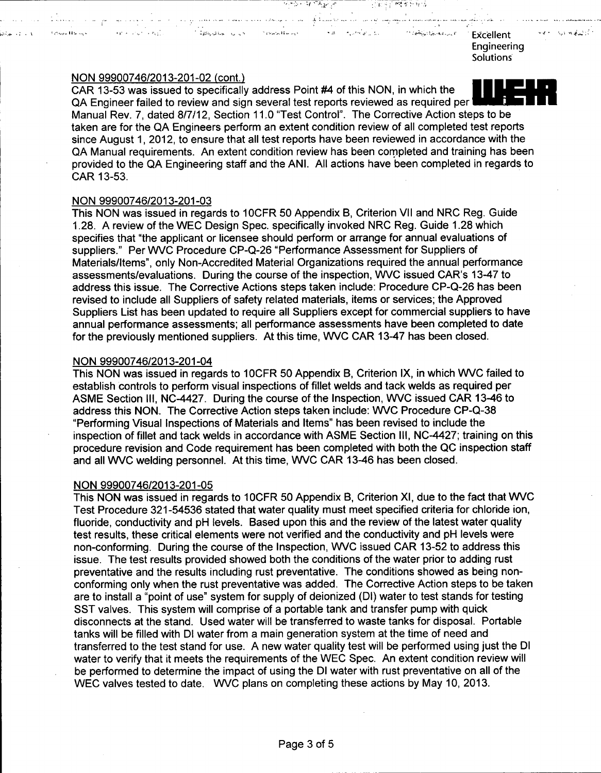Excellent **Engineering Solutions** 

 $\alpha_1 \rightarrow \beta_1 \gamma_2 \gamma_1$  ,  $\alpha_2 \gamma_1 \gamma_2$ 

 $\mathcal{L}(\mathcal{L}_{\text{max}},\mathcal{L}_{\text{max}})$ 

**Tended History** 

NON 99900746/2013-201-02 (cont.)<br>CAR 13-53 was issued to specifically address Point #4 of this NON, in which the QA Engineer failed to review and sign several test reports reviewed as required per Manual Rev. 7, dated 8/7/12, Section 11.0 "Test Control". The Corrective Action steps to be taken are for the QA Engineers perform an extent condition review of all completed test reports since August 1, 2012, to ensure that all test reports have been reviewed in accordance with the QA Manual requirements. An extent condition review has been completed and training has been provided to the QA Engineering staff and the ANI. All actions have been completed in regards to CAR 13-53.

**., .-ý.. , ýý -A\_ I**

 $\sim 20$ 

Contraction of Complement

بالممعة أستوم ومناوبات المتحدث والشكاكي المداد المهارمة والمحالف الممالحة والمراريات الحاريات الحالم والمحارب المراريب

أجودها والمصادف

الارتى بىرى ئىچىدىكى بىرىدى.<br>ئارتى بىرى ئىچىدىكى بىرىدىنى ئى

### NON 99900746/2013-201-03

This NON was issued in regards to 1OCFR 50 Appendix B, Criterion VII and NRC Reg. Guide 1.28. A review of the WEC Design Spec. specifically invoked NRC Reg. Guide 1.28 which specifies that "the applicant or licensee should perform or arrange for annual evaluations of suppliers." Per WVC Procedure CP-Q-26 "Performance Assessment for Suppliers of Materials/Items", only Non-Accredited Material Organizations required the annual performance assessments/evaluations. During the course of the inspection, WVC issued CAR's 13-47 to address this issue. The Corrective Actions steps taken include: Procedure CP-Q-26 has been revised to include all Suppliers of safety related materials, items or services; the Approved Suppliers List has been updated to require all Suppliers except for commercial suppliers to have annual performance assessments; all performance assessments have been completed to date for the previously mentioned suppliers. At this time, WVC CAR 13-47 has been closed.

### NON 99900746/2013-201-04

This NON was issued in regards to 10CFR 50 Appendix B, Criterion IX, in which WVC failed to establish controls to perform visual inspections of fillet welds and tack welds as required per ASME Section III, NC-4427. During the course of the Inspection, WVC issued CAR 13-46 to address this NON. The Corrective Action steps taken include: WVC Procedure CP-Q-38 "Performing Visual Inspections of Materials and Items" has been revised to include the inspection of fillet and tack welds in accordance with ASME Section III, NC-4427; training on this procedure revision and Code requirement has been completed with both the QC inspection staff and all WVC welding personnel. At this time, WVC CAR 13-46 has been closed.

# NON 99900746/2013-201-05

This NON was issued in regards to 1OCFR 50 Appendix B, Criterion Xl, due to the fact that WVC Test Procedure 321-54536 stated that water quality must meet specified criteria for chloride ion, fluoride, conductivity and pH levels. Based upon this and the review of the latest water quality test results, these critical elements were not verified and the conductivity and pH levels were non-conforming. During the course of the Inspection, WVC issued CAR 13-52 to address this issue. The test results provided showed both the conditions of the water prior to adding rust preventative and the results including rust preventative. The conditions showed as being nonconforming only when the rust preventative was added. The Corrective Action steps to be taken are to install a "point of use" system for supply of deionized (DI) water to test stands for testing SST valves. This system will comprise of a portable tank and transfer pump with quick disconnects at the stand. Used water will be transferred to waste tanks for disposal. Portable tanks will be filled with **DI** water from a main generation system at the time of need and transferred to the test stand for use. A new water quality test will be performed using just the **DI** water to verify that it meets the requirements of the WEC Spec. An extent condition review will be performed to determine the impact of using the **DI** water with rust preventative on all of the WEC valves tested to date. WVC plans on completing these actions by May 10, 2013.



**Ul**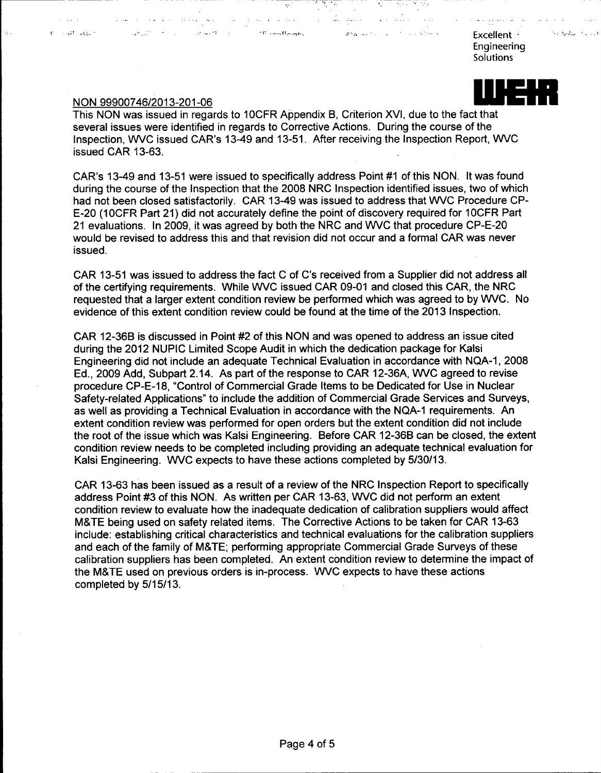" " " The mother of the second in the second second second second second second second second second second second second second second second second second second second second second second second second second second se **Engineering Solutions** 

# NON 99900746/2013-201-06

the property of the second con-

 $\alpha^2\omega^2\to\infty$  .

**Service State** 

ω.

the code equine

This NON was issued in regards to 1OCFR Appendix B, Criterion XVI, due to the fact that several issues were identified in regards to Corrective Actions. During the course of the Inspection, WVC issued CAR's 13-49 and 13-51. After receiving the Inspection Report, WVC issued CAR 13-63.

a stalling

الواقد القدارية التواصل والمنا

 $\mathcal{L}_\mathbf{r}$  ,  $\mathcal{L}_\mathbf{r}$  ,  $\mathcal{L}_\mathbf{r}$  ,  $\mathcal{L}_\mathbf{r}$  ,

CAR's 13-49 and 13-51 were issued to specifically address Point #1 of this NON. It was found during the course of the Inspection that the 2008 NRC Inspection identified issues, two of which had not been closed satisfactorily. CAR 13-49 was issued to address that WVC Procedure CP-E-20 (1OCFR Part 21) did not accurately define the point of discovery required for 1OCFR Part 21 evaluations. In 2009, it was agreed by both the NRC and WVC that procedure CP-E-20 would be revised to address this and that revision did not occur and a formal CAR was never issued.

CAR 13-51 was issued to address the fact C of C's received from a Supplier did not address all of the certifying requirements. While WVC issued CAR 09-01 and closed this CAR, the NRC requested that a larger extent condition review be performed which was agreed to by WVC. No evidence of this extent condition review could be found at the time of the 2013 Inspection.

CAR 12-36B is discussed in Point #2 of this NON and was opened to address an issue cited during the 2012 NUPIC Limited Scope Audit in which the dedication package for Kalsi Engineering did not include an adequate Technical Evaluation in accordance with NQA-1, 2008 Ed., 2009 Add, Subpart 2.14. As part of the response to CAR 12-36A, WVC agreed to revise procedure CP-E-18, "Control of Commercial Grade Items to be Dedicated for Use in Nuclear Safety-related Applications" to include the addition of Commercial Grade Services and Surveys, as well as providing a Technical Evaluation in accordance with the NQA-1 requirements. An extent condition review was performed for open orders but the extent condition did not include the root of the issue which was Kalsi Engineering. Before CAR 12-36B can be closed, the extent condition review needs to be completed including providing an adequate technical evaluation for Kalsi Engineering. WVC expects to have these actions completed by 5/30/13.

CAR 13-63 has been issued as a result of a review of the NRC Inspection Report to specifically address Point #3 of this NON. As written per CAR 13-63, WVC did not perform an extent condition review to evaluate how the inadequate dedication of calibration suppliers would affect M&TE being used on safety related items. The Corrective Actions to be taken for CAR 13-63 include: establishing critical characteristics and technical evaluations for the calibration suppliers and each of the family of M&TE; performing appropriate Commercial Grade Surveys of these calibration suppliers has been completed. An extent condition review to determine the impact of the M&TE used on previous orders is in-process. WVC expects to have these actions completed by 5/15/13.